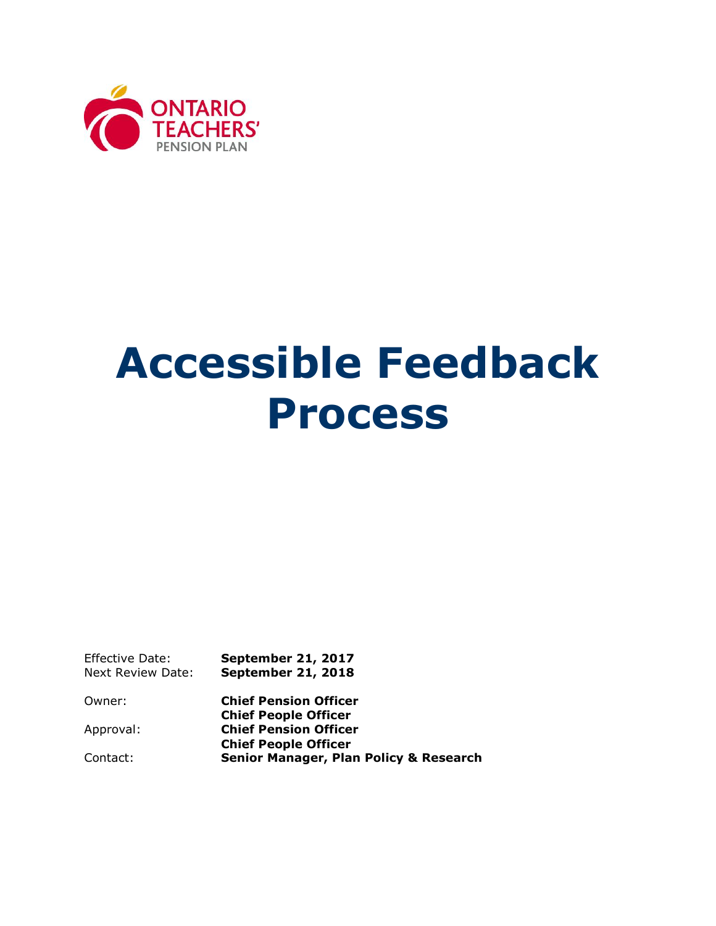

# **Accessible Feedback Process**

Effective Date: **September 21, 2017**  Next Review Date: **September 21, 2018**

Owner: **Chief Pension Officer Chief People Officer** Approval: **Chief Pension Officer Chief People Officer**  Contact: **Senior Manager, Plan Policy & Research**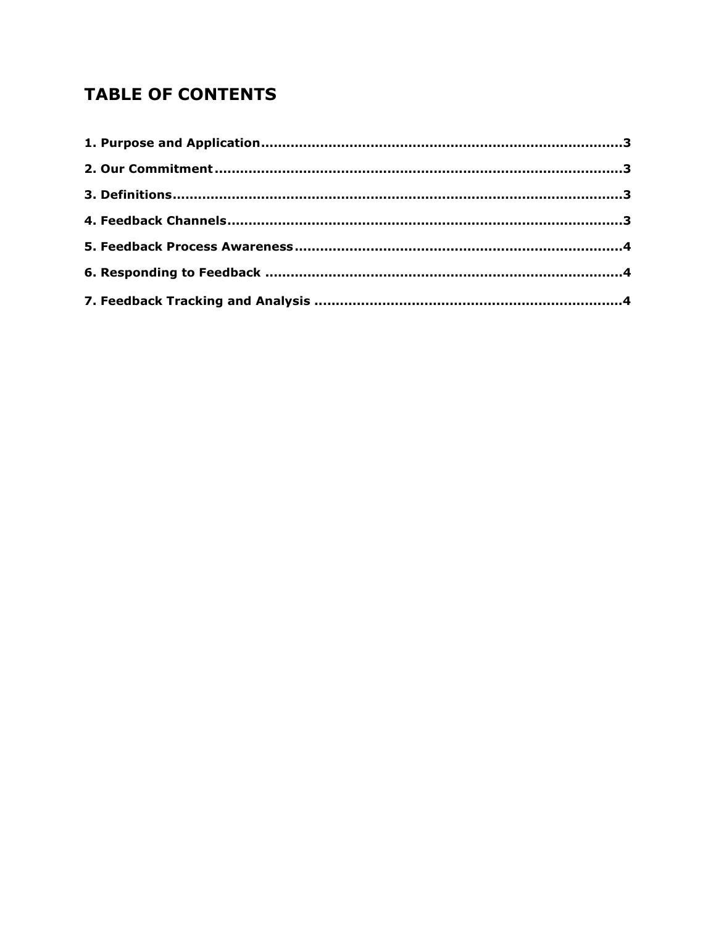# **TABLE OF CONTENTS**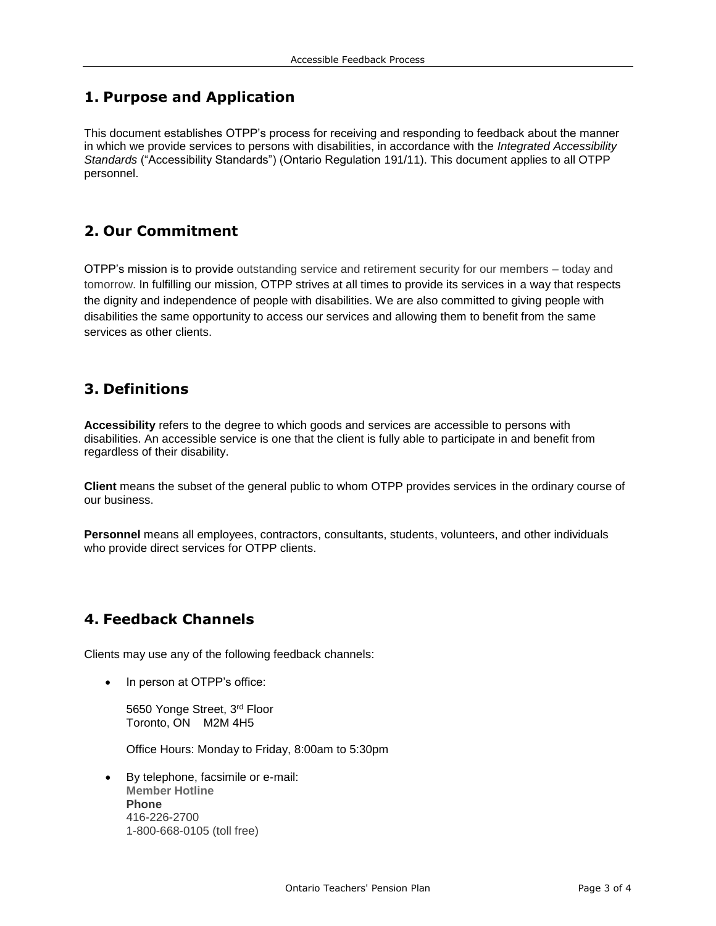### <span id="page-2-0"></span>**1. Purpose and Application**

 This document establishes OTPP's process for receiving and responding to feedback about the manner *Standards* ("Accessibility Standards") (Ontario Regulation 191/11). This document applies to all OTPP in which we provide services to persons with disabilities, in accordance with the *Integrated Accessibility*  personnel.

## <span id="page-2-1"></span>**2. Our Commitment**

 OTPP's mission is to provide outstanding service and retirement security for our members – today and tomorrow. In fulfilling our mission, OTPP strives at all times to provide its services in a way that respects the dignity and independence of people with disabilities. We are also committed to giving people with disabilities the same opportunity to access our services and allowing them to benefit from the same services as other clients.

#### <span id="page-2-2"></span>**3. Definitions**

 regardless of their disability. **Accessibility** refers to the degree to which goods and services are accessible to persons with disabilities. An accessible service is one that the client is fully able to participate in and benefit from

**Client** means the subset of the general public to whom OTPP provides services in the ordinary course of our business.

**Personnel** means all employees, contractors, consultants, students, volunteers, and other individuals who provide direct services for OTPP clients.

### <span id="page-2-3"></span>**4. Feedback Channels**

Clients may use any of the following feedback channels:

• In person at OTPP's office:

5650 Yonge Street, 3rd Floor Toronto, ON M2M 4H5

Office Hours: Monday to Friday, 8:00am to 5:30pm

 By telephone, facsimile or e-mail: **Member Hotline Phone**  416-226-2700 1-800-668-0105 (toll free)